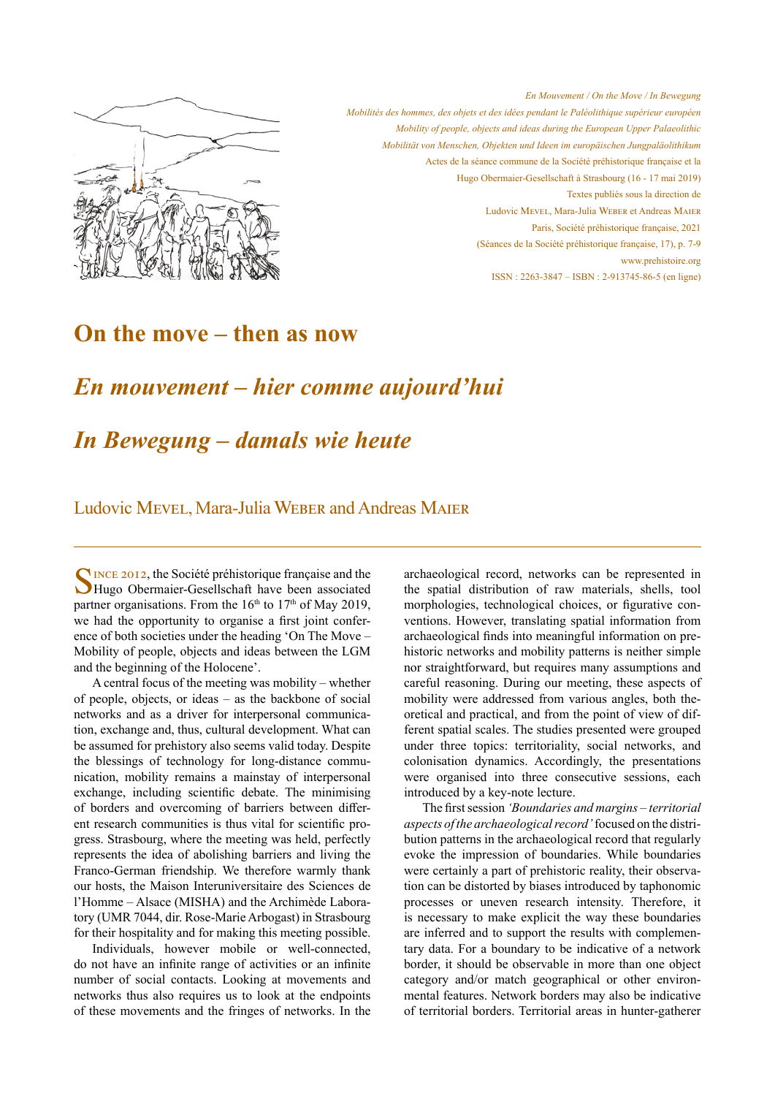

*En Mouvement / On the Move / In Bewegung Mobilités des hommes, des objets et des idées pendant le Paléolithique supérieur européen Mobility of people, objects and ideas during the European Upper Palaeolithic Mobilität von Menschen, Objekten und Ideen im europäischen Jungpaläolithikum* Actes de la séance commune de la Société préhistorique française et la Hugo Obermaier-Gesellschaft à Strasbourg (16 - 17 mai 2019) Textes publiés sous la direction de Ludovic Mevel, Mara-Julia Weber et Andreas Maier Paris, Société préhistorique française, 2021 (Séances de la Société préhistorique française, 17), p. 7-9 www.prehistoire.org ISSN : 2263-3847 – ISBN : 2-913745-86-5 (en ligne)

## **On the move – then as now**

# *En mouvement – hier comme aujourd'hui*

## *In Bewegung – damals wie heute*

### Ludovic Mevel, Mara-Julia Weber and Andreas Maier

SINCE 2012, the Société préhistorique française and the Hugo Obermaier-Gesellschaft have been associated partner organisations. From the  $16<sup>th</sup>$  to  $17<sup>th</sup>$  of May 2019, we had the opportunity to organise a first joint conference of both societies under the heading 'On The Move – Mobility of people, objects and ideas between the LGM and the beginning of the Holocene'.

A central focus of the meeting was mobility – whether of people, objects, or ideas – as the backbone of social networks and as a driver for interpersonal communication, exchange and, thus, cultural development. What can be assumed for prehistory also seems valid today. Despite the blessings of technology for long-distance communication, mobility remains a mainstay of interpersonal exchange, including scientific debate. The minimising of borders and overcoming of barriers between different research communities is thus vital for scientific progress. Strasbourg, where the meeting was held, perfectly represents the idea of abolishing barriers and living the Franco-German friendship. We therefore warmly thank our hosts, the Maison Interuniversitaire des Sciences de l'Homme – Alsace (MISHA) and the Archimède Laboratory (UMR 7044, dir. Rose-Marie Arbogast) in Strasbourg for their hospitality and for making this meeting possible.

Individuals, however mobile or well-connected, do not have an infinite range of activities or an infinite number of social contacts. Looking at movements and networks thus also requires us to look at the endpoints of these movements and the fringes of networks. In the archaeological record, networks can be represented in the spatial distribution of raw materials, shells, tool morphologies, technological choices, or figurative conventions. However, translating spatial information from archaeological finds into meaningful information on prehistoric networks and mobility patterns is neither simple nor straightforward, but requires many assumptions and careful reasoning. During our meeting, these aspects of mobility were addressed from various angles, both theoretical and practical, and from the point of view of different spatial scales. The studies presented were grouped under three topics: territoriality, social networks, and colonisation dynamics. Accordingly, the presentations were organised into three consecutive sessions, each introduced by a key-note lecture.

The first session *'Boundaries and margins – territorial aspects of the archaeological record'* focused on the distribution patterns in the archaeological record that regularly evoke the impression of boundaries. While boundaries were certainly a part of prehistoric reality, their observation can be distorted by biases introduced by taphonomic processes or uneven research intensity. Therefore, it is necessary to make explicit the way these boundaries are inferred and to support the results with complementary data. For a boundary to be indicative of a network border, it should be observable in more than one object category and/or match geographical or other environmental features. Network borders may also be indicative of territorial borders. Territorial areas in hunter-gatherer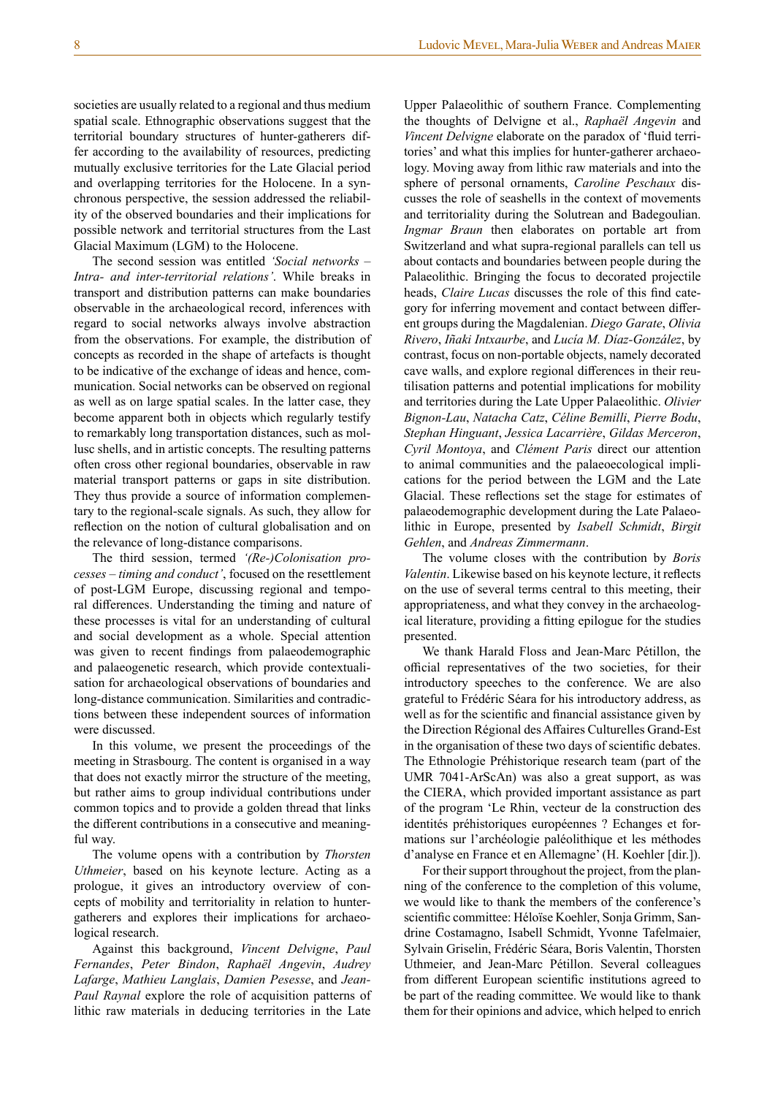societies are usually related to a regional and thus medium spatial scale. Ethnographic observations suggest that the territorial boundary structures of hunter-gatherers differ according to the availability of resources, predicting mutually exclusive territories for the Late Glacial period and overlapping territories for the Holocene. In a synchronous perspective, the session addressed the reliability of the observed boundaries and their implications for possible network and territorial structures from the Last Glacial Maximum (LGM) to the Holocene.

The second session was entitled *'Social networks – Intra- and inter-territorial relations'*. While breaks in transport and distribution patterns can make boundaries observable in the archaeological record, inferences with regard to social networks always involve abstraction from the observations. For example, the distribution of concepts as recorded in the shape of artefacts is thought to be indicative of the exchange of ideas and hence, communication. Social networks can be observed on regional as well as on large spatial scales. In the latter case, they become apparent both in objects which regularly testify to remarkably long transportation distances, such as mollusc shells, and in artistic concepts. The resulting patterns often cross other regional boundaries, observable in raw material transport patterns or gaps in site distribution. They thus provide a source of information complementary to the regional-scale signals. As such, they allow for reflection on the notion of cultural globalisation and on the relevance of long-distance comparisons.

The third session, termed *'(Re-)Colonisation processes – timing and conduct'*, focused on the resettlement of post-LGM Europe, discussing regional and temporal differences. Understanding the timing and nature of these processes is vital for an understanding of cultural and social development as a whole. Special attention was given to recent findings from palaeodemographic and palaeogenetic research, which provide contextualisation for archaeological observations of boundaries and long-distance communication. Similarities and contradictions between these independent sources of information were discussed.

In this volume, we present the proceedings of the meeting in Strasbourg. The content is organised in a way that does not exactly mirror the structure of the meeting, but rather aims to group individual contributions under common topics and to provide a golden thread that links the different contributions in a consecutive and meaningful way.

The volume opens with a contribution by *Thorsten Uthmeier*, based on his keynote lecture. Acting as a prologue, it gives an introductory overview of concepts of mobility and territoriality in relation to huntergatherers and explores their implications for archaeological research.

Against this background, *Vincent Delvigne*, *Paul Fernandes*, *Peter Bindon*, *Raphaël Angevin*, *Audrey Lafarge*, *Mathieu Langlais*, *Damien Pesesse*, and *Jean-Paul Raynal* explore the role of acquisition patterns of lithic raw materials in deducing territories in the Late

Upper Palaeolithic of southern France. Complementing the thoughts of Delvigne et al., *Raphaël Angevin* and *Vincent Delvigne* elaborate on the paradox of 'fluid territories' and what this implies for hunter-gatherer archaeology. Moving away from lithic raw materials and into the sphere of personal ornaments, *Caroline Peschaux* discusses the role of seashells in the context of movements and territoriality during the Solutrean and Badegoulian. *Ingmar Braun* then elaborates on portable art from Switzerland and what supra-regional parallels can tell us about contacts and boundaries between people during the Palaeolithic. Bringing the focus to decorated projectile heads, *Claire Lucas* discusses the role of this find category for inferring movement and contact between different groups during the Magdalenian. *Diego Garate*, *Olivia Rivero*, *Iñaki Intxaurbe*, and *Lucía M. Díaz-González*, by contrast, focus on non-portable objects, namely decorated cave walls, and explore regional differences in their reutilisation patterns and potential implications for mobility and territories during the Late Upper Palaeolithic. *Olivier Bignon-Lau*, *Natacha Catz*, *Céline Bemilli*, *Pierre Bodu*, *Stephan Hinguant*, *Jessica Lacarrière*, *Gildas Merceron*, *Cyril Montoya*, and *Clément Paris* direct our attention to animal communities and the palaeoecological implications for the period between the LGM and the Late Glacial. These reflections set the stage for estimates of palaeodemographic development during the Late Palaeolithic in Europe, presented by *Isabell Schmidt*, *Birgit Gehlen*, and *Andreas Zimmermann*.

The volume closes with the contribution by *Boris Valentin*. Likewise based on his keynote lecture, it reflects on the use of several terms central to this meeting, their appropriateness, and what they convey in the archaeological literature, providing a fitting epilogue for the studies presented.

We thank Harald Floss and Jean-Marc Pétillon, the official representatives of the two societies, for their introductory speeches to the conference. We are also grateful to Frédéric Séara for his introductory address, as well as for the scientific and financial assistance given by the Direction Régional des Affaires Culturelles Grand-Est in the organisation of these two days of scientific debates. The Ethnologie Préhistorique research team (part of the UMR 7041-ArScAn) was also a great support, as was the CIERA, which provided important assistance as part of the program 'Le Rhin, vecteur de la construction des identités préhistoriques européennes ? Echanges et formations sur l'archéologie paléolithique et les méthodes d'analyse en France et en Allemagne' (H. Koehler [dir.]).

For their support throughout the project, from the planning of the conference to the completion of this volume, we would like to thank the members of the conference's scientific committee: Héloïse Koehler, Sonja Grimm, Sandrine Costamagno, Isabell Schmidt, Yvonne Tafelmaier, Sylvain Griselin, Frédéric Séara, Boris Valentin, Thorsten Uthmeier, and Jean-Marc Pétillon. Several colleagues from different European scientific institutions agreed to be part of the reading committee. We would like to thank them for their opinions and advice, which helped to enrich